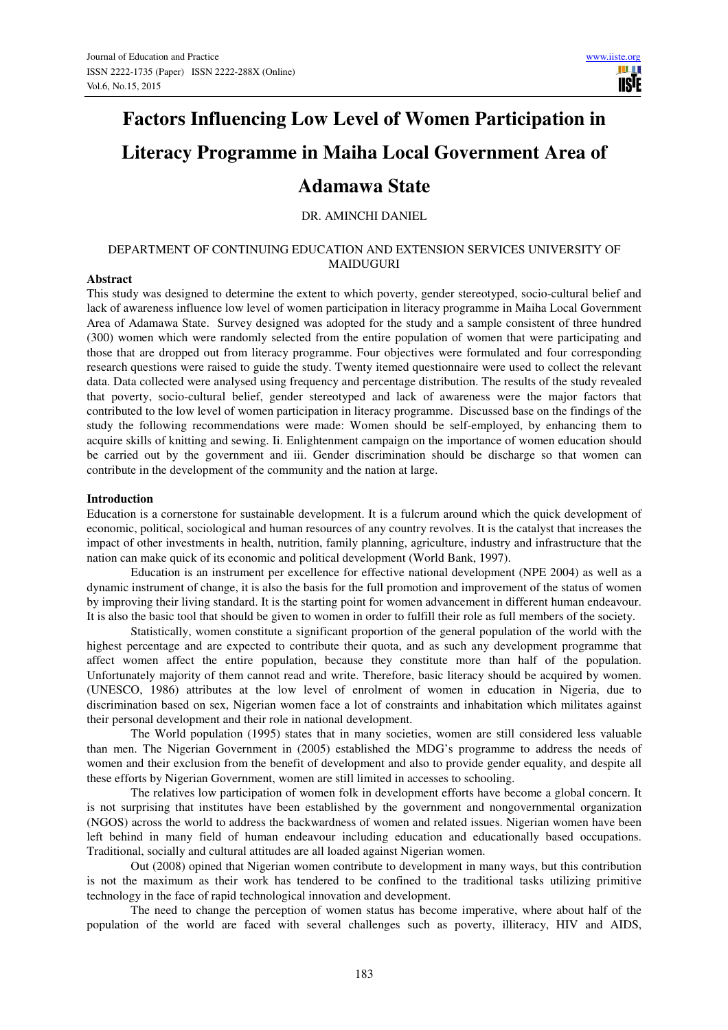# **Factors Influencing Low Level of Women Participation in Literacy Programme in Maiha Local Government Area of Adamawa State**

# DR. AMINCHI DANIEL

# DEPARTMENT OF CONTINUING EDUCATION AND EXTENSION SERVICES UNIVERSITY OF MAIDUGURI

#### **Abstract**

This study was designed to determine the extent to which poverty, gender stereotyped, socio-cultural belief and lack of awareness influence low level of women participation in literacy programme in Maiha Local Government Area of Adamawa State. Survey designed was adopted for the study and a sample consistent of three hundred (300) women which were randomly selected from the entire population of women that were participating and those that are dropped out from literacy programme. Four objectives were formulated and four corresponding research questions were raised to guide the study. Twenty itemed questionnaire were used to collect the relevant data. Data collected were analysed using frequency and percentage distribution. The results of the study revealed that poverty, socio-cultural belief, gender stereotyped and lack of awareness were the major factors that contributed to the low level of women participation in literacy programme. Discussed base on the findings of the study the following recommendations were made: Women should be self-employed, by enhancing them to acquire skills of knitting and sewing. Ii. Enlightenment campaign on the importance of women education should be carried out by the government and iii. Gender discrimination should be discharge so that women can contribute in the development of the community and the nation at large.

#### **Introduction**

Education is a cornerstone for sustainable development. It is a fulcrum around which the quick development of economic, political, sociological and human resources of any country revolves. It is the catalyst that increases the impact of other investments in health, nutrition, family planning, agriculture, industry and infrastructure that the nation can make quick of its economic and political development (World Bank, 1997).

Education is an instrument per excellence for effective national development (NPE 2004) as well as a dynamic instrument of change, it is also the basis for the full promotion and improvement of the status of women by improving their living standard. It is the starting point for women advancement in different human endeavour. It is also the basic tool that should be given to women in order to fulfill their role as full members of the society.

 Statistically, women constitute a significant proportion of the general population of the world with the highest percentage and are expected to contribute their quota, and as such any development programme that affect women affect the entire population, because they constitute more than half of the population. Unfortunately majority of them cannot read and write. Therefore, basic literacy should be acquired by women. (UNESCO, 1986) attributes at the low level of enrolment of women in education in Nigeria, due to discrimination based on sex, Nigerian women face a lot of constraints and inhabitation which militates against their personal development and their role in national development.

 The World population (1995) states that in many societies, women are still considered less valuable than men. The Nigerian Government in (2005) established the MDG's programme to address the needs of women and their exclusion from the benefit of development and also to provide gender equality, and despite all these efforts by Nigerian Government, women are still limited in accesses to schooling.

 The relatives low participation of women folk in development efforts have become a global concern. It is not surprising that institutes have been established by the government and nongovernmental organization (NGOS) across the world to address the backwardness of women and related issues. Nigerian women have been left behind in many field of human endeavour including education and educationally based occupations. Traditional, socially and cultural attitudes are all loaded against Nigerian women.

 Out (2008) opined that Nigerian women contribute to development in many ways, but this contribution is not the maximum as their work has tendered to be confined to the traditional tasks utilizing primitive technology in the face of rapid technological innovation and development.

 The need to change the perception of women status has become imperative, where about half of the population of the world are faced with several challenges such as poverty, illiteracy, HIV and AIDS,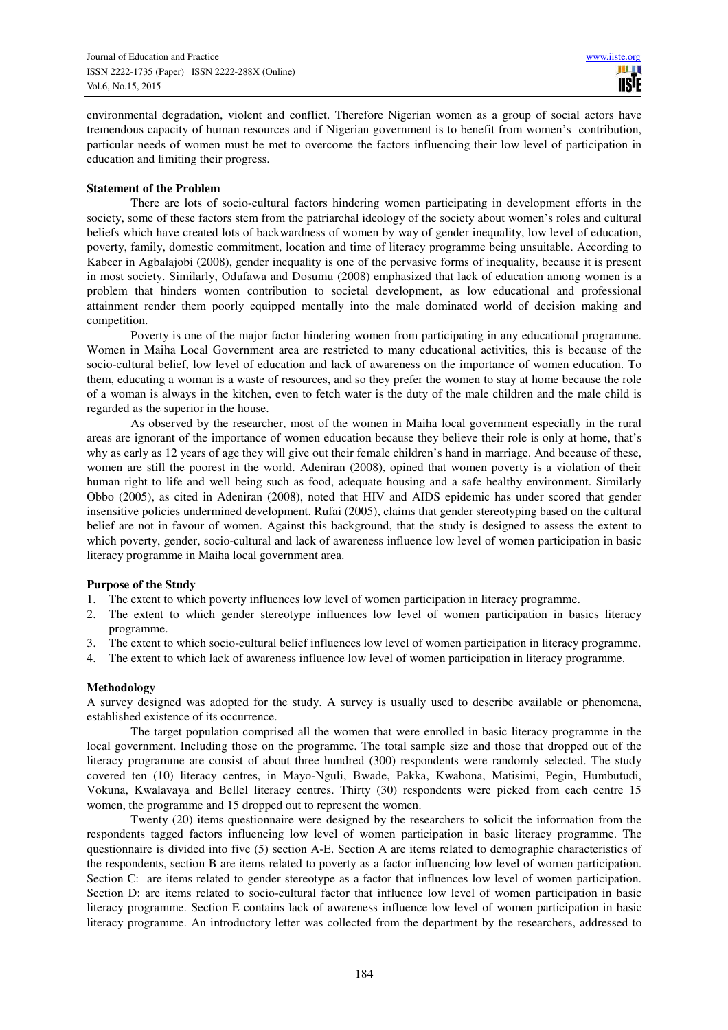environmental degradation, violent and conflict. Therefore Nigerian women as a group of social actors have tremendous capacity of human resources and if Nigerian government is to benefit from women's contribution, particular needs of women must be met to overcome the factors influencing their low level of participation in education and limiting their progress.

#### **Statement of the Problem**

 There are lots of socio-cultural factors hindering women participating in development efforts in the society, some of these factors stem from the patriarchal ideology of the society about women's roles and cultural beliefs which have created lots of backwardness of women by way of gender inequality, low level of education, poverty, family, domestic commitment, location and time of literacy programme being unsuitable. According to Kabeer in Agbalajobi (2008), gender inequality is one of the pervasive forms of inequality, because it is present in most society. Similarly, Odufawa and Dosumu (2008) emphasized that lack of education among women is a problem that hinders women contribution to societal development, as low educational and professional attainment render them poorly equipped mentally into the male dominated world of decision making and competition.

 Poverty is one of the major factor hindering women from participating in any educational programme. Women in Maiha Local Government area are restricted to many educational activities, this is because of the socio-cultural belief, low level of education and lack of awareness on the importance of women education. To them, educating a woman is a waste of resources, and so they prefer the women to stay at home because the role of a woman is always in the kitchen, even to fetch water is the duty of the male children and the male child is regarded as the superior in the house.

 As observed by the researcher, most of the women in Maiha local government especially in the rural areas are ignorant of the importance of women education because they believe their role is only at home, that's why as early as 12 years of age they will give out their female children's hand in marriage. And because of these, women are still the poorest in the world. Adeniran (2008), opined that women poverty is a violation of their human right to life and well being such as food, adequate housing and a safe healthy environment. Similarly Obbo (2005), as cited in Adeniran (2008), noted that HIV and AIDS epidemic has under scored that gender insensitive policies undermined development. Rufai (2005), claims that gender stereotyping based on the cultural belief are not in favour of women. Against this background, that the study is designed to assess the extent to which poverty, gender, socio-cultural and lack of awareness influence low level of women participation in basic literacy programme in Maiha local government area.

#### **Purpose of the Study**

- 1. The extent to which poverty influences low level of women participation in literacy programme.
- 2. The extent to which gender stereotype influences low level of women participation in basics literacy programme.
- 3. The extent to which socio-cultural belief influences low level of women participation in literacy programme.
- 4. The extent to which lack of awareness influence low level of women participation in literacy programme.

#### **Methodology**

A survey designed was adopted for the study. A survey is usually used to describe available or phenomena, established existence of its occurrence.

 The target population comprised all the women that were enrolled in basic literacy programme in the local government. Including those on the programme. The total sample size and those that dropped out of the literacy programme are consist of about three hundred (300) respondents were randomly selected. The study covered ten (10) literacy centres, in Mayo-Nguli, Bwade, Pakka, Kwabona, Matisimi, Pegin, Humbutudi, Vokuna, Kwalavaya and Bellel literacy centres. Thirty (30) respondents were picked from each centre 15 women, the programme and 15 dropped out to represent the women.

 Twenty (20) items questionnaire were designed by the researchers to solicit the information from the respondents tagged factors influencing low level of women participation in basic literacy programme. The questionnaire is divided into five (5) section A-E. Section A are items related to demographic characteristics of the respondents, section B are items related to poverty as a factor influencing low level of women participation. Section C: are items related to gender stereotype as a factor that influences low level of women participation. Section D: are items related to socio-cultural factor that influence low level of women participation in basic literacy programme. Section E contains lack of awareness influence low level of women participation in basic literacy programme. An introductory letter was collected from the department by the researchers, addressed to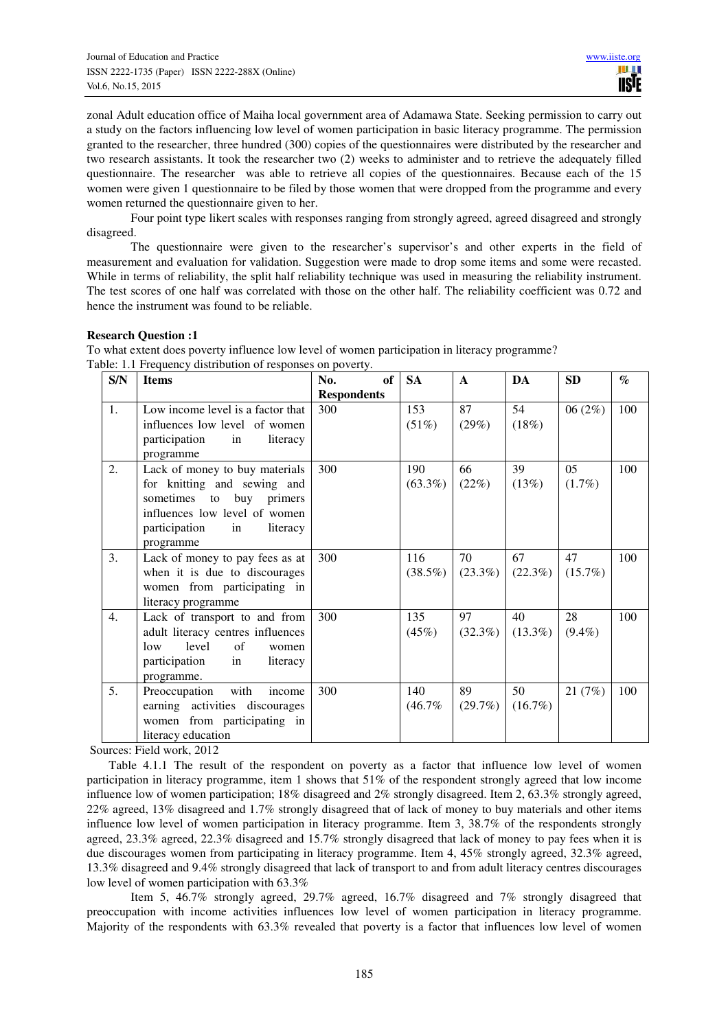zonal Adult education office of Maiha local government area of Adamawa State. Seeking permission to carry out a study on the factors influencing low level of women participation in basic literacy programme. The permission granted to the researcher, three hundred (300) copies of the questionnaires were distributed by the researcher and two research assistants. It took the researcher two (2) weeks to administer and to retrieve the adequately filled questionnaire. The researcher was able to retrieve all copies of the questionnaires. Because each of the 15 women were given 1 questionnaire to be filed by those women that were dropped from the programme and every women returned the questionnaire given to her.

 Four point type likert scales with responses ranging from strongly agreed, agreed disagreed and strongly disagreed.

 The questionnaire were given to the researcher's supervisor's and other experts in the field of measurement and evaluation for validation. Suggestion were made to drop some items and some were recasted. While in terms of reliability, the split half reliability technique was used in measuring the reliability instrument. The test scores of one half was correlated with those on the other half. The reliability coefficient was 0.72 and hence the instrument was found to be reliable.

# **Research Question :1**

To what extent does poverty influence low level of women participation in literacy programme? Table: 1.1 Frequency distribution of responses on poverty.

| S/N              | <b>Items</b>                                                                                                                                                               | No.<br>of 1        | <b>SA</b>         | $\mathbf{A}$     | DA               | <b>SD</b>       | $\mathcal{O}_0$ |
|------------------|----------------------------------------------------------------------------------------------------------------------------------------------------------------------------|--------------------|-------------------|------------------|------------------|-----------------|-----------------|
|                  |                                                                                                                                                                            | <b>Respondents</b> |                   |                  |                  |                 |                 |
| 1.               | Low income level is a factor that<br>influences low level of women<br>literacy<br>participation<br>in<br>programme                                                         | 300                | 153<br>(51%)      | 87<br>(29%)      | 54<br>(18%)      | 06(2%)          | 100             |
| 2.               | Lack of money to buy materials<br>for knitting and sewing and<br>sometimes to buy primers<br>influences low level of women<br>participation<br>literacy<br>in<br>programme | 300                | 190<br>$(63.3\%)$ | 66<br>(22%)      | 39<br>(13%)      | 05<br>$(1.7\%)$ | 100             |
| 3.               | Lack of money to pay fees as at<br>when it is due to discourages<br>women from participating in<br>literacy programme                                                      | 300                | 116<br>$(38.5\%)$ | 70<br>$(23.3\%)$ | 67<br>(22.3%)    | 47<br>(15.7%)   | 100             |
| 4.               | Lack of transport to and from<br>adult literacy centres influences<br>level<br>$\alpha$ f<br>low<br>women<br>participation<br>in<br>literacy<br>programme.                 | 300                | 135<br>(45%)      | 97<br>$(32.3\%)$ | 40<br>$(13.3\%)$ | 28<br>$(9.4\%)$ | 100             |
| $\mathfrak{I}$ . | with<br>Preoccupation<br>income<br>earning activities discourages<br>women from participating in<br>literacy education                                                     | 300                | 140<br>(46.7%     | 89<br>(29.7%)    | 50<br>$(16.7\%)$ | 21(7%)          | 100             |

Sources: Field work, 2012

Table 4.1.1 The result of the respondent on poverty as a factor that influence low level of women participation in literacy programme, item 1 shows that 51% of the respondent strongly agreed that low income influence low of women participation; 18% disagreed and 2% strongly disagreed. Item 2, 63.3% strongly agreed, 22% agreed, 13% disagreed and 1.7% strongly disagreed that of lack of money to buy materials and other items influence low level of women participation in literacy programme. Item 3, 38.7% of the respondents strongly agreed, 23.3% agreed, 22.3% disagreed and 15.7% strongly disagreed that lack of money to pay fees when it is due discourages women from participating in literacy programme. Item 4, 45% strongly agreed, 32.3% agreed, 13.3% disagreed and 9.4% strongly disagreed that lack of transport to and from adult literacy centres discourages low level of women participation with 63.3%

 Item 5, 46.7% strongly agreed, 29.7% agreed, 16.7% disagreed and 7% strongly disagreed that preoccupation with income activities influences low level of women participation in literacy programme. Majority of the respondents with 63.3% revealed that poverty is a factor that influences low level of women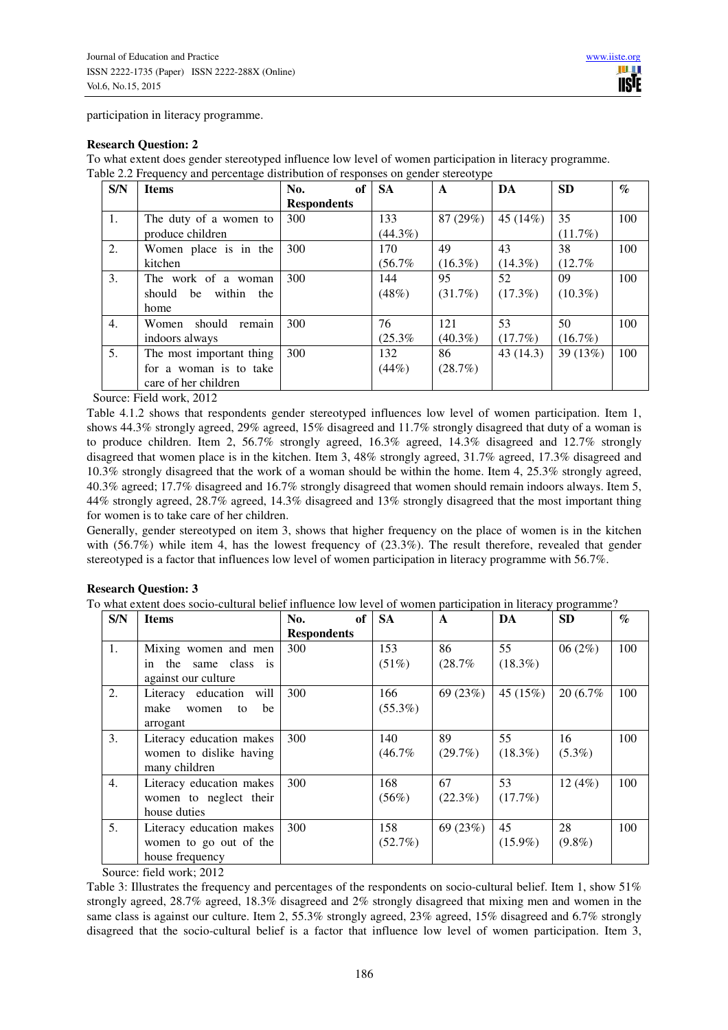participation in literacy programme.

#### **Research Question: 2**

To what extent does gender stereotyped influence low level of women participation in literacy programme. Table 2.2 Frequency and percentage distribution of responses on gender stereotype

| S/N | <b>Items</b>                  | of<br>No.          | <b>SA</b>  | A          | DA         | <b>SD</b>  | $\mathcal{G}_{\mathcal{O}}$ |
|-----|-------------------------------|--------------------|------------|------------|------------|------------|-----------------------------|
|     |                               | <b>Respondents</b> |            |            |            |            |                             |
| 1.  | The duty of a women to        | 300                | 133        | 87 (29%)   | 45 (14%)   | 35         | 100                         |
|     | produce children              |                    | $(44.3\%)$ |            |            | $(11.7\%)$ |                             |
| 2.  | Women place is in the         | 300                | 170        | 49         | 43         | 38         | 100                         |
|     | kitchen                       |                    | (56.7%     | $(16.3\%)$ | $(14.3\%)$ | (12.7%     |                             |
| 3.  | The work of a woman           | 300                | 144        | 95         | 52         | 09         | 100                         |
|     | should<br>be<br>within<br>the |                    | (48%)      | $(31.7\%)$ | $(17.3\%)$ | $(10.3\%)$ |                             |
|     | home                          |                    |            |            |            |            |                             |
| 4.  | remain<br>should<br>Women     | 300                | 76         | 121        | 53         | 50         | 100                         |
|     | indoors always                |                    | (25.3%     | $(40.3\%)$ | (17.7%)    | $(16.7\%)$ |                             |
| 5.  | The most important thing      | 300                | 132        | 86         | 43(14.3)   | 39 (13%)   | 100                         |
|     | for a woman is to take        |                    | (44%)      | (28.7%)    |            |            |                             |
|     | care of her children          |                    |            |            |            |            |                             |

Source: Field work, 2012

Table 4.1.2 shows that respondents gender stereotyped influences low level of women participation. Item 1, shows 44.3% strongly agreed, 29% agreed, 15% disagreed and 11.7% strongly disagreed that duty of a woman is to produce children. Item 2, 56.7% strongly agreed, 16.3% agreed, 14.3% disagreed and 12.7% strongly disagreed that women place is in the kitchen. Item 3, 48% strongly agreed, 31.7% agreed, 17.3% disagreed and 10.3% strongly disagreed that the work of a woman should be within the home. Item 4, 25.3% strongly agreed, 40.3% agreed; 17.7% disagreed and 16.7% strongly disagreed that women should remain indoors always. Item 5, 44% strongly agreed, 28.7% agreed, 14.3% disagreed and 13% strongly disagreed that the most important thing for women is to take care of her children.

Generally, gender stereotyped on item 3, shows that higher frequency on the place of women is in the kitchen with  $(56.7\%)$  while item 4, has the lowest frequency of  $(23.3\%)$ . The result therefore, revealed that gender stereotyped is a factor that influences low level of women participation in literacy programme with 56.7%.

# **Research Question: 3**

To what extent does socio-cultural belief influence low level of women participation in literacy programme?

| S/N | <b>Items</b>              | of<br>No.          | <b>SA</b>  | $\mathbf{A}$ | DA         | <b>SD</b>  | $\mathcal{G}_{\mathcal{O}}$ |
|-----|---------------------------|--------------------|------------|--------------|------------|------------|-----------------------------|
|     |                           | <b>Respondents</b> |            |              |            |            |                             |
| 1.  | Mixing women and men      | 300                | 153        | 86           | 55         | 06 $(2\%)$ | 100                         |
|     | the same class is<br>in   |                    | (51%)      | (28.7%       | $(18.3\%)$ |            |                             |
|     | against our culture       |                    |            |              |            |            |                             |
| 2.  | Literacy education will   | 300                | 166        | 69 (23%)     | 45(15%)    | 20 (6.7%)  | 100                         |
|     | make<br>be<br>women<br>to |                    | $(55.3\%)$ |              |            |            |                             |
|     | arrogant                  |                    |            |              |            |            |                             |
| 3.  | Literacy education makes  | 300                | 140        | 89           | 55         | 16         | 100                         |
|     | women to dislike having   |                    | (46.7%     | (29.7%)      | $(18.3\%)$ | $(5.3\%)$  |                             |
|     | many children             |                    |            |              |            |            |                             |
| 4.  | Literacy education makes  | 300                | 168        | 67           | 53         | 12(4%)     | 100                         |
|     | women to neglect their    |                    | (56%)      | $(22.3\%)$   | $(17.7\%)$ |            |                             |
|     | house duties              |                    |            |              |            |            |                             |
| 5.  | Literacy education makes  | 300                | 158        | 69 (23%)     | 45         | 28         | 100                         |
|     | women to go out of the    |                    | $(52.7\%)$ |              | $(15.9\%)$ | $(9.8\%)$  |                             |
|     | house frequency           |                    |            |              |            |            |                             |

Source: field work; 2012

Table 3: Illustrates the frequency and percentages of the respondents on socio-cultural belief. Item 1, show 51% strongly agreed, 28.7% agreed, 18.3% disagreed and 2% strongly disagreed that mixing men and women in the same class is against our culture. Item 2, 55.3% strongly agreed, 23% agreed, 15% disagreed and 6.7% strongly disagreed that the socio-cultural belief is a factor that influence low level of women participation. Item 3,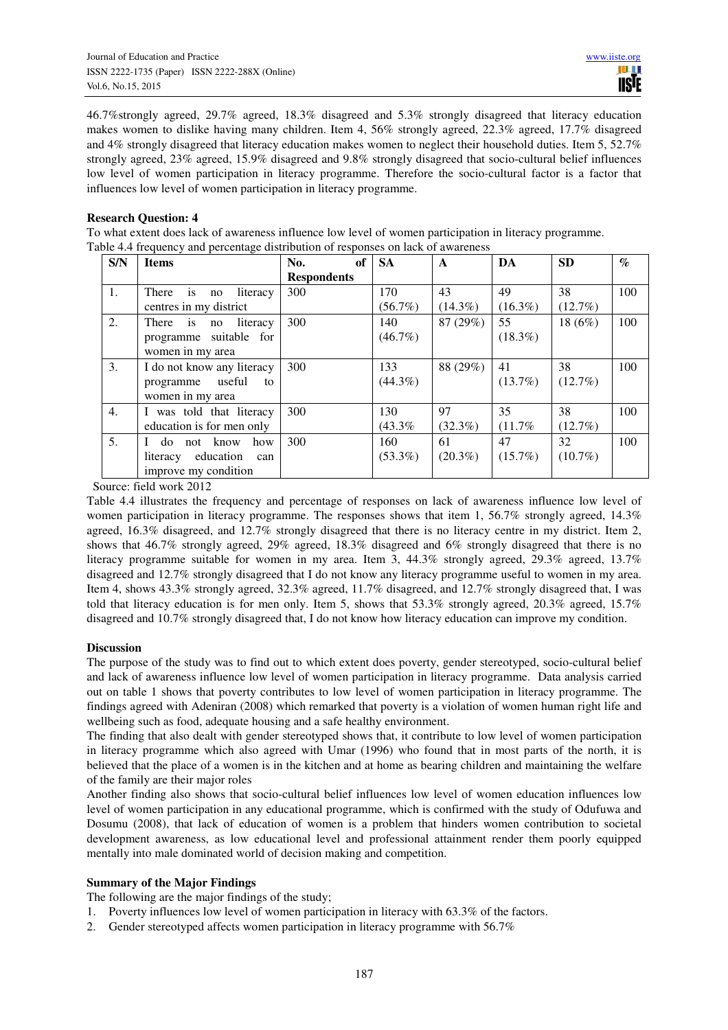46.7%strongly agreed, 29.7% agreed, 18.3% disagreed and 5.3% strongly disagreed that literacy education makes women to dislike having many children. Item 4, 56% strongly agreed, 22.3% agreed, 17.7% disagreed and 4% strongly disagreed that literacy education makes women to neglect their household duties. Item 5, 52.7% strongly agreed, 23% agreed, 15.9% disagreed and 9.8% strongly disagreed that socio-cultural belief influences low level of women participation in literacy programme. Therefore the socio-cultural factor is a factor that influences low level of women participation in literacy programme.

## **Research Question: 4**

To what extent does lack of awareness influence low level of women participation in literacy programme. Table 4.4 frequency and percentage distribution of responses on lack of awareness

| S/N              | <b>Items</b>                             | of<br>No.          | <b>SA</b>  | $\mathbf{A}$ | DA         | <b>SD</b>  | $\mathcal{G}_{\mathcal{O}}$ |
|------------------|------------------------------------------|--------------------|------------|--------------|------------|------------|-----------------------------|
|                  |                                          | <b>Respondents</b> |            |              |            |            |                             |
| 1.               | $\frac{1}{1}$<br>literacy<br>There<br>no | 300                | 170        | 43           | 49         | 38         | 100                         |
|                  | centres in my district                   |                    | $(56.7\%)$ | $(14.3\%)$   | $(16.3\%)$ | $(12.7\%)$ |                             |
| 2.               | $\frac{1}{1}$<br>literacy<br>There<br>no | 300                | 140        | 87 (29%)     | 55         | 18 $(6%)$  | 100                         |
|                  | suitable for<br>programme                |                    | $(46.7\%)$ |              | $(18.3\%)$ |            |                             |
|                  | women in my area                         |                    |            |              |            |            |                             |
| 3.               | I do not know any literacy               | 300                | 133        | 88 (29%)     | 41         | 38         | 100                         |
|                  | useful<br>programme<br>to                |                    | $(44.3\%)$ |              | $(13.7\%)$ | $(12.7\%)$ |                             |
|                  | women in my area                         |                    |            |              |            |            |                             |
| 4.               | I was told that literacy                 | 300                | 130        | 97           | 35         | 38         | 100                         |
|                  | education is for men only                |                    | (43.3%     | $(32.3\%)$   | (11.7%     | $(12.7\%)$ |                             |
| $\mathfrak{I}$ . | know<br>do not<br>how                    | 300                | 160        | 61           | 47         | 32         | 100                         |
|                  | education<br>literacy<br>can             |                    | $(53.3\%)$ | $(20.3\%)$   | $(15.7\%)$ | $(10.7\%)$ |                             |
|                  | improve my condition                     |                    |            |              |            |            |                             |

Source: field work 2012

Table 4.4 illustrates the frequency and percentage of responses on lack of awareness influence low level of women participation in literacy programme. The responses shows that item 1, 56.7% strongly agreed, 14.3% agreed, 16.3% disagreed, and 12.7% strongly disagreed that there is no literacy centre in my district. Item 2, shows that 46.7% strongly agreed, 29% agreed, 18.3% disagreed and 6% strongly disagreed that there is no literacy programme suitable for women in my area. Item 3, 44.3% strongly agreed, 29.3% agreed, 13.7% disagreed and 12.7% strongly disagreed that I do not know any literacy programme useful to women in my area. Item 4, shows 43.3% strongly agreed, 32.3% agreed, 11.7% disagreed, and 12.7% strongly disagreed that, I was told that literacy education is for men only. Item 5, shows that 53.3% strongly agreed, 20.3% agreed, 15.7% disagreed and 10.7% strongly disagreed that, I do not know how literacy education can improve my condition.

# **Discussion**

The purpose of the study was to find out to which extent does poverty, gender stereotyped, socio-cultural belief and lack of awareness influence low level of women participation in literacy programme. Data analysis carried out on table 1 shows that poverty contributes to low level of women participation in literacy programme. The findings agreed with Adeniran (2008) which remarked that poverty is a violation of women human right life and wellbeing such as food, adequate housing and a safe healthy environment.

The finding that also dealt with gender stereotyped shows that, it contribute to low level of women participation in literacy programme which also agreed with Umar (1996) who found that in most parts of the north, it is believed that the place of a women is in the kitchen and at home as bearing children and maintaining the welfare of the family are their major roles

Another finding also shows that socio-cultural belief influences low level of women education influences low level of women participation in any educational programme, which is confirmed with the study of Odufuwa and Dosumu (2008), that lack of education of women is a problem that hinders women contribution to societal development awareness, as low educational level and professional attainment render them poorly equipped mentally into male dominated world of decision making and competition.

# **Summary of the Major Findings**

The following are the major findings of the study;

- 1. Poverty influences low level of women participation in literacy with 63.3% of the factors.
- 2. Gender stereotyped affects women participation in literacy programme with 56.7%